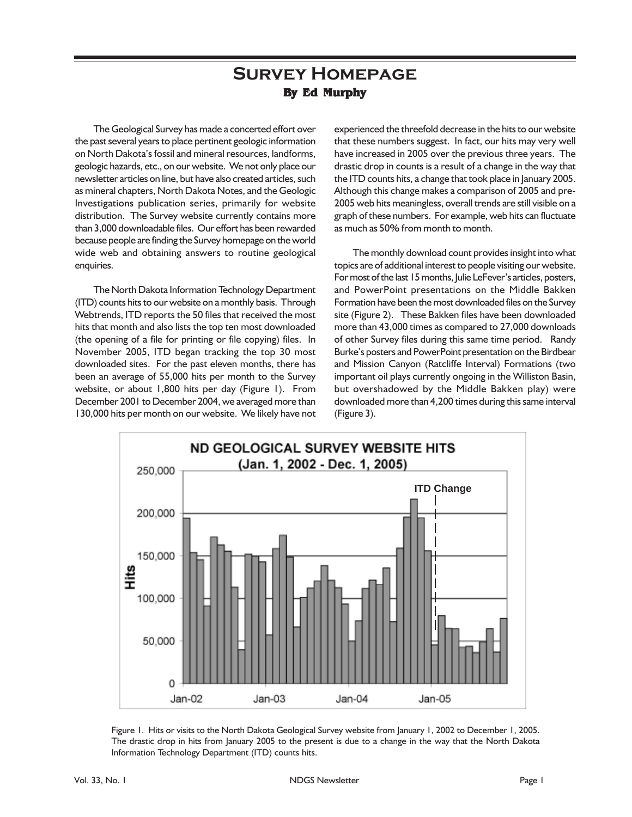## **Survey Homepage By Ed Murphy**

The Geological Survey has made a concerted effort over the past several years to place pertinent geologic information on North Dakota's fossil and mineral resources, landforms, geologic hazards, etc., on our website. We not only place our newsletter articles on line, but have also created articles, such as mineral chapters, North Dakota Notes, and the Geologic Investigations publication series, primarily for website distribution. The Survey website currently contains more than 3,000 downloadable files. Our effort has been rewarded because people are finding the Survey homepage on the world wide web and obtaining answers to routine geological enquiries.

The North Dakota Information Technology Department (ITD) counts hits to our website on a monthly basis. Through Webtrends, ITD reports the 50 files that received the most hits that month and also lists the top ten most downloaded (the opening of a file for printing or file copying) files. In November 2005, ITD began tracking the top 30 most downloaded sites. For the past eleven months, there has been an average of 55,000 hits per month to the Survey website, or about 1,800 hits per day (Figure 1). From December 2001 to December 2004, we averaged more than 130,000 hits per month on our website. We likely have not

experienced the threefold decrease in the hits to our website that these numbers suggest. In fact, our hits may very well have increased in 2005 over the previous three years. The drastic drop in counts is a result of a change in the way that the ITD counts hits, a change that took place in January 2005. Although this change makes a comparison of 2005 and pre-2005 web hits meaningless, overall trends are still visible on a graph of these numbers. For example, web hits can fluctuate as much as 50% from month to month.

The monthly download count provides insight into what topics are of additional interest to people visiting our website. For most of the last 15 months, Julie LeFever's articles, posters, and PowerPoint presentations on the Middle Bakken Formation have been the most downloaded files on the Survey site (Figure 2). These Bakken files have been downloaded more than 43,000 times as compared to 27,000 downloads of other Survey files during this same time period. Randy Burke's posters and PowerPoint presentation on the Birdbear and Mission Canyon (Ratcliffe Interval) Formations (two important oil plays currently ongoing in the Williston Basin, but overshadowed by the Middle Bakken play) were downloaded more than 4,200 times during this same interval (Figure 3).



Figure 1. Hits or visits to the North Dakota Geological Survey website from January 1, 2002 to December 1, 2005. The drastic drop in hits from January 2005 to the present is due to a change in the way that the North Dakota Information Technology Department (ITD) counts hits.